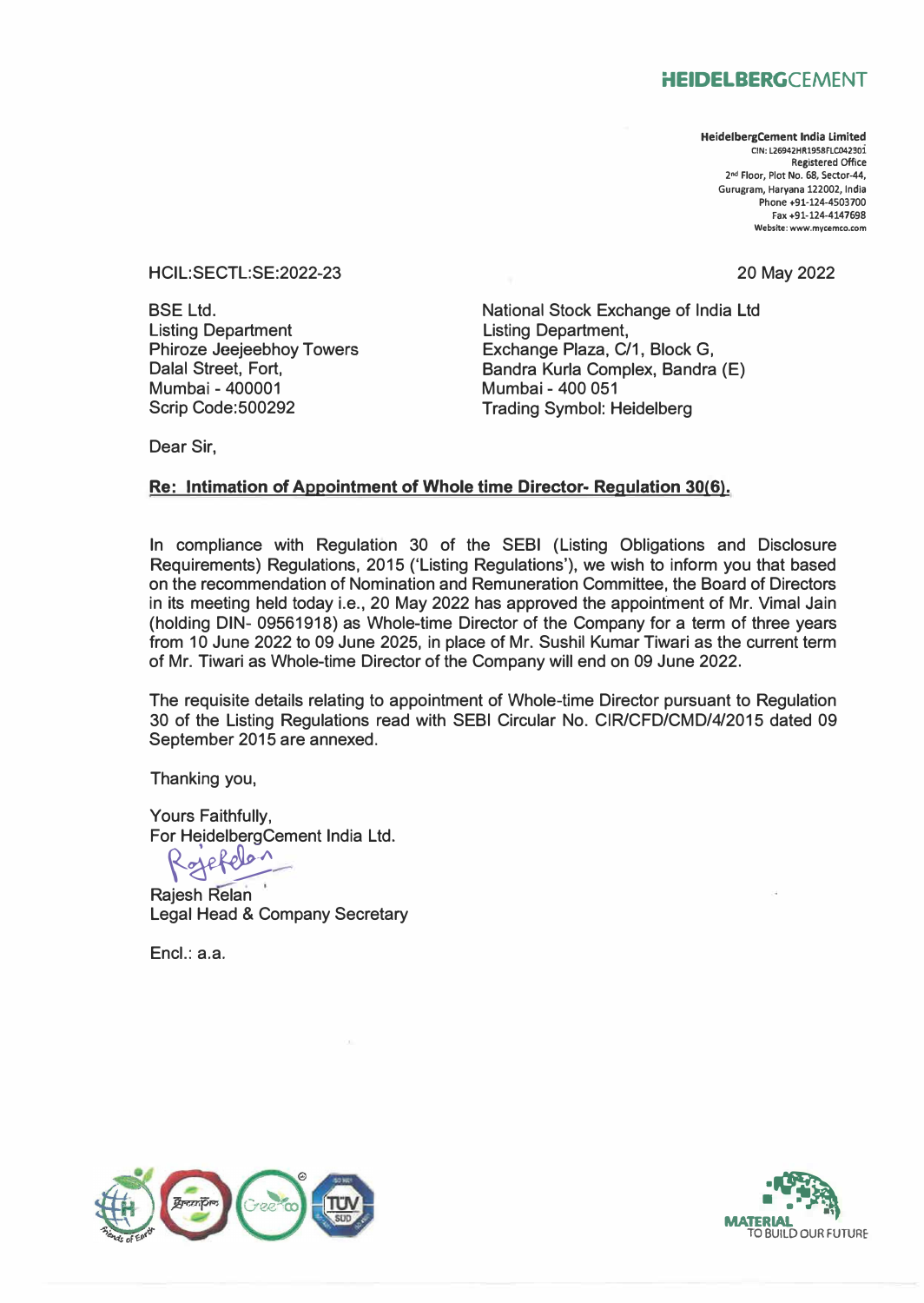## **HEIDELBERGCEMENT**

**HeidelbergCement India Limited ClN: L26942HR1958FLC042301**  Registered Office **2 nd Floor, Plot No. 68, Sector-44, Gurugram, Haryana 122002, India Phone +91-124-4503700 Fax +91-124-4147698 Website: www.mycemco.com** 

20 May 2022

HCIL:SECTL:SE:2022-23

**BSE Ltd.** Listing Department Phiroze Jeejeebhoy Towers Dalal Street, Fort, Mumbai - 400001 Scrip Code:500292

National Stock Exchange of India Ltd Listing Department, Exchange Plaza, C/1, Block G, Bandra Kurla Complex, Bandra (E) Mumbai - 400 051 Trading Symbol: Heidelberg

Dear Sir,

## **Re: Intimation of Appointment of Whole time Director- Regulation 30(6).**

In compliance with Regulation 30 of the SEBI (Listing Obligations and Disclosure Requirements) Regulations, 2015 ('Listing Regulations'), we wish to inform you that based on the recommendation of Nomination and Remuneration Committee, the Board of Directors in its meeting held today i.e., 20 May 2022 has approved the appoinfment of Mr. Vimal Jain (holding DIN- 09561918) as Whole-time Director of the Company for a term of three years from 10 June 2022 to 09 June 2025, in place of Mr. Sushil Kumar Tiwari as the current term of Mr. Tiwari as Whole-time Director of the Company will end on 09 June 2022.

The requisite details relating to appointment of Whole-time Director pursuant to Regulation 30 of the Listing Regulations read with SEBI Circular No. CIR/CFD/CMD/4/2015 dated 09 September 2015 are annexed.

Thanking you,

Yours Faithfully, For HeidelbergCement India Ltd.

 $\sqrt{2}$ 

Rajesh Relan Legal Head & Company Secretary

Encl.: a.a.